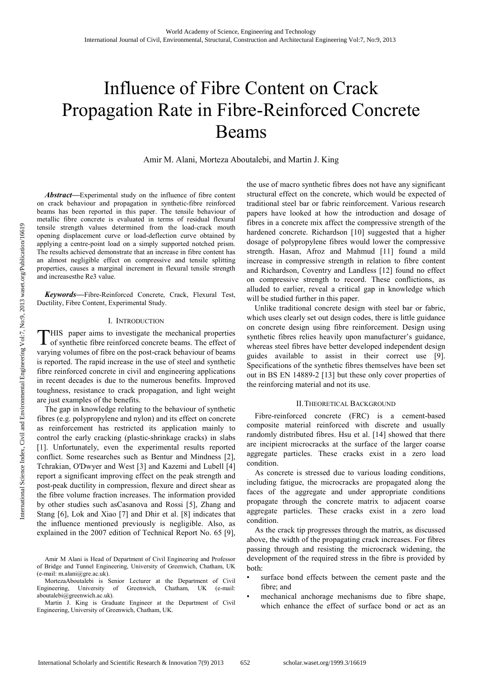# Influence of Fibre Content on Crack Propagation Rate in Fibre-Reinforced Concrete Beams

Amir M. Alani, Morteza Aboutalebi, and Martin J. King

*Abstract***—**Experimental study on the influence of fibre content on crack behaviour and propagation in synthetic-fibre reinforced beams has been reported in this paper. The tensile behaviour of metallic fibre concrete is evaluated in terms of residual flexural tensile strength values determined from the load-crack mouth opening displacement curve or load-deflection curve obtained by applying a centre-point load on a simply supported notched prism. The results achieved demonstrate that an increase in fibre content has an almost negligible effect on compressive and tensile splitting properties, causes a marginal increment in flexural tensile strength and increasesthe Re3 value.

*Keywords***—**Fibre-Reinforced Concrete, Crack, Flexural Test, Ductility, Fibre Content, Experimental Study.

#### I. INTRODUCTION

THIS paper aims to investigate the mechanical properties of synthetic fibre reinforced concrete beams. The effect of of synthetic fibre reinforced concrete beams. The effect of varying volumes of fibre on the post-crack behaviour of beams is reported. The rapid increase in the use of steel and synthetic fibre reinforced concrete in civil and engineering applications in recent decades is due to the numerous benefits. Improved toughness, resistance to crack propagation, and light weight are just examples of the benefits.

The gap in knowledge relating to the behaviour of synthetic fibres (e.g. polypropylene and nylon) and its effect on concrete as reinforcement has restricted its application mainly to control the early cracking (plastic-shrinkage cracks) in slabs [1]. Unfortunately, even the experimental results reported conflict. Some researches such as Bentur and Mindness [2], Tchrakian, O'Dwyer and West [3] and Kazemi and Lubell [4] report a significant improving effect on the peak strength and post-peak ductility in compression, flexure and direct shear as the fibre volume fraction increases. The information provided by other studies such asCasanova and Rossi [5], Zhang and Stang [6], Lok and Xiao [7] and Dhir et al. [8] indicates that the influence mentioned previously is negligible. Also, as explained in the 2007 edition of Technical Report No. 65 [9], the use of macro synthetic fibres does not have any significant structural effect on the concrete, which would be expected of traditional steel bar or fabric reinforcement. Various research papers have looked at how the introduction and dosage of fibres in a concrete mix affect the compressive strength of the hardened concrete. Richardson [10] suggested that a higher dosage of polypropylene fibres would lower the compressive strength. Hasan, Afroz and Mahmud [11] found a mild increase in compressive strength in relation to fibre content and Richardson, Coventry and Landless [12] found no effect on compressive strength to record. These conflictions, as alluded to earlier, reveal a critical gap in knowledge which will be studied further in this paper.

Unlike traditional concrete design with steel bar or fabric, which uses clearly set out design codes, there is little guidance on concrete design using fibre reinforcement. Design using synthetic fibres relies heavily upon manufacturer's guidance, whereas steel fibres have better developed independent design guides available to assist in their correct use [9]. Specifications of the synthetic fibres themselves have been set out in BS EN 14889-2 [13] but these only cover properties of the reinforcing material and not its use.

### II.THEORETICAL BACKGROUND

Fibre-reinforced concrete (FRC) is a cement-based composite material reinforced with discrete and usually randomly distributed fibres. Hsu et al. [14] showed that there are incipient microcracks at the surface of the larger coarse aggregate particles. These cracks exist in a zero load condition.

As concrete is stressed due to various loading conditions, including fatigue, the microcracks are propagated along the faces of the aggregate and under appropriate conditions propagate through the concrete matrix to adjacent coarse aggregate particles. These cracks exist in a zero load condition.

As the crack tip progresses through the matrix, as discussed above, the width of the propagating crack increases. For fibres passing through and resisting the microcrack widening, the development of the required stress in the fibre is provided by both:

- surface bond effects between the cement paste and the fibre; and
- mechanical anchorage mechanisms due to fibre shape, which enhance the effect of surface bond or act as an

Amir M Alani is Head of Department of Civil Engineering and Professor of Bridge and Tunnel Engineering, University of Greenwich, Chatham, UK  $(e$ -mail: m.alani@gre.ac.uk).

MortezaAboutalebi is Senior Lecturer at the Department of Civil<br>Engineering, University of Greenwich, Chatham, UK (e-mail: of Greenwich, Chatham, UK (e-mail: aboutalebi@greenwich.ac.uk).

Martin J. King is Graduate Engineer at the Department of Civil Engineering, University of Greenwich, Chatham, UK.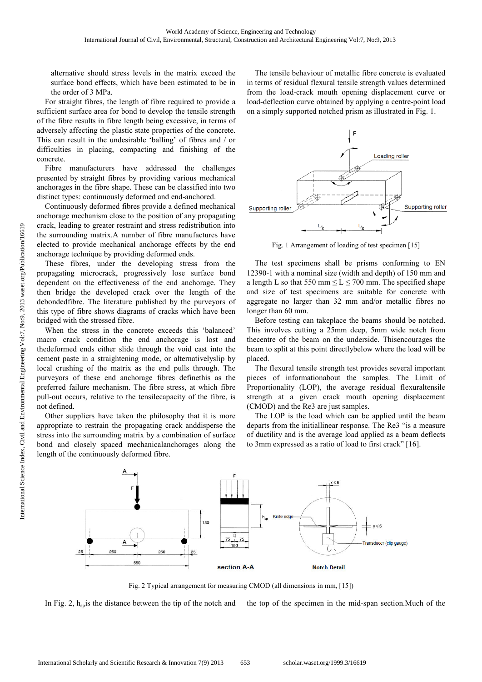alternative should stress levels in the matrix exceed the surface bond effects, which have been estimated to be in the order of 3 MPa.

For straight fibres, the length of fibre required to provide a sufficient surface area for bond to develop the tensile strength of the fibre results in fibre length being excessive, in terms of adversely affecting the plastic state properties of the concrete. This can result in the undesirable 'balling' of fibres and / or difficulties in placing, compacting and finishing of the concrete.

Fibre manufacturers have addressed the challenges presented by straight fibres by providing various mechanical anchorages in the fibre shape. These can be classified into two distinct types: continuously deformed and end-anchored.

Continuously deformed fibres provide a defined mechanical anchorage mechanism close to the position of any propagating crack, leading to greater restraint and stress redistribution into the surrounding matrix.A number of fibre manufactures have elected to provide mechanical anchorage effects by the end anchorage technique by providing deformed ends.

These fibres, under the developing stress from the propagating microcrack, progressively lose surface bond dependent on the effectiveness of the end anchorage. They then bridge the developed crack over the length of the debondedfibre. The literature published by the purveyors of this type of fibre shows diagrams of cracks which have been bridged with the stressed fibre.

When the stress in the concrete exceeds this 'balanced' macro crack condition the end anchorage is lost and thedeformed ends either slide through the void cast into the cement paste in a straightening mode, or alternativelyslip by local crushing of the matrix as the end pulls through. The purveyors of these end anchorage fibres definethis as the preferred failure mechanism. The fibre stress, at which fibre pull-out occurs, relative to the tensilecapacity of the fibre, is not defined.

Other suppliers have taken the philosophy that it is more appropriate to restrain the propagating crack anddisperse the stress into the surrounding matrix by a combination of surface bond and closely spaced mechanicalanchorages along the length of the continuously deformed fibre.

The tensile behaviour of metallic fibre concrete is evaluated in terms of residual flexural tensile strength values determined from the load-crack mouth opening displacement curve or load-deflection curve obtained by applying a centre-point load on a simply supported notched prism as illustrated in Fig. 1.



Fig. 1 Arrangement of loading of test specimen [15]

The test specimens shall be prisms conforming to EN 12390-1 with a nominal size (width and depth) of 150 mm and a length L so that 550 mm  $\leq L \leq 700$  mm. The specified shape and size of test specimens are suitable for concrete with aggregate no larger than 32 mm and/or metallic fibres no longer than 60 mm.

Before testing can takeplace the beams should be notched. This involves cutting a 25mm deep, 5mm wide notch from thecentre of the beam on the underside. Thisencourages the beam to split at this point directlybelow where the load will be placed.

The flexural tensile strength test provides several important pieces of informationabout the samples. The Limit of Proportionality (LOP), the average residual flexuraltensile strength at a given crack mouth opening displacement (CMOD) and the Re3 are just samples.

The LOP is the load which can be applied until the beam departs from the initiallinear response. The Re3 "is a measure of ductility and is the average load applied as a beam deflects to 3mm expressed as a ratio of load to first crack" [16].



Fig. 2 Typical arrangement for measuring CMOD (all dimensions in mm, [15])

In Fig. 2,  $h_{sp}$  is the distance between the tip of the notch and the top of the specimen in the mid-span section. Much of the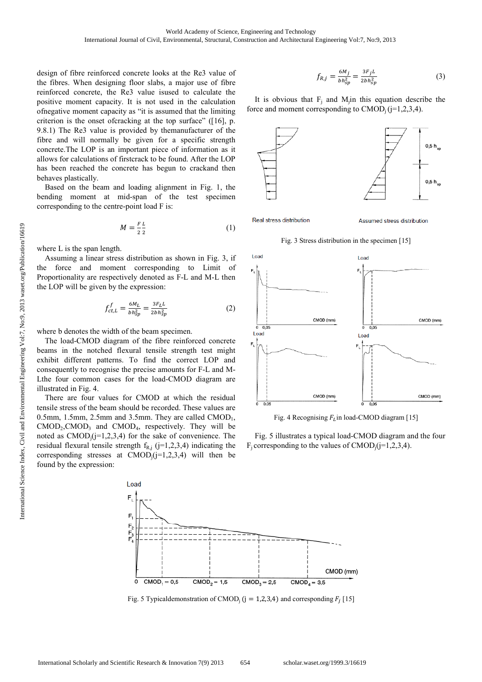design of fibre reinforced concrete looks at the Re3 value of the fibres. When designing floor slabs, a major use of fibre reinforced concrete, the Re3 value isused to calculate the positive moment capacity. It is not used in the calculation ofnegative moment capacity as "it is assumed that the limiting criterion is the onset ofcracking at the top surface" ([16], p. 9.8.1) The Re3 value is provided by themanufacturer of the fibre and will normally be given for a specific strength concrete.The LOP is an important piece of information as it allows for calculations of firstcrack to be found. After the LOP has been reached the concrete has begun to crackand then behaves plastically.

Based on the beam and loading alignment in Fig. 1, the bending moment at mid-span of the test specimen corresponding to the centre-point load F is:

$$
M = \frac{FL}{2\,2} \tag{1}
$$

where L is the span length.

Assuming a linear stress distribution as shown in Fig. 3, if the force and moment corresponding to Limit of Proportionality are respectively denoted as F-L and M-L then the LOP will be given by the expression:

$$
f_{ct,L}^f = \frac{6M_L}{bh_{sp}^2} = \frac{3F_L L}{2bh_{sp}^2}
$$
 (2)

where b denotes the width of the beam specimen.

The load-CMOD diagram of the fibre reinforced concrete beams in the notched flexural tensile strength test might exhibit different patterns. To find the correct LOP and consequently to recognise the precise amounts for F-L and M-Lthe four common cases for the load-CMOD diagram are illustrated in Fig. 4.

There are four values for CMOD at which the residual tensile stress of the beam should be recorded. These values are 0.5mm, 1.5mm, 2.5mm and 3.5mm. They are called  $\text{CMOD}_1$ ,  $CMOD<sub>2</sub>, CMOD<sub>3</sub>$  and  $CMOD<sub>4</sub>$ , respectively. They will be noted as  $CMOD_i$  ( $i=1,2,3,4$ ) for the sake of convenience. The residual flexural tensile strength  $f_{R,j}$  (j=1,2,3,4) indicating the corresponding stresses at  $\text{CMOD}_i(j=1,2,3,4)$  will then be found by the expression:

$$
f_{R,j} = \frac{6M_j}{b h_{sp}^2} = \frac{3F_j L}{2bh_{sp}^2}
$$
 (3)

It is obvious that  $F_j$  and M<sub>j</sub>in this equation describe the force and moment corresponding to  $\text{CMOD}_i$  (j=1,2,3,4).



Assumed stress distribution

Fig. 3 Stress distribution in the specimen [15]



Fig. 4 Recognising  $F_L$  in load-CMOD diagram [15]

Fig. 5 illustrates a typical load-CMOD diagram and the four  $F_i$  corresponding to the values of CMOD<sub>i</sub>(j=1,2,3,4).



Fig. 5 Typical demonstration of CMOD<sub>j</sub> ( $j = 1,2,3,4$ ) and corresponding  $F_j$  [15]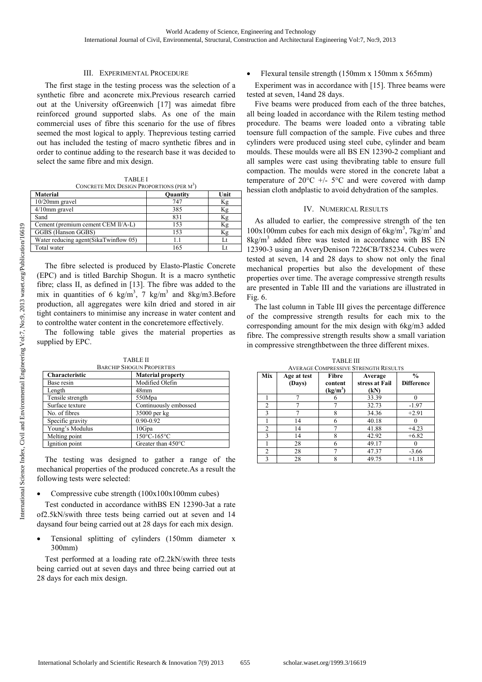## III. EXPERIMENTAL PROCEDURE

The first stage in the testing process was the selection of a synthetic fibre and aconcrete mix.Previous research carried out at the University ofGreenwich [17] was aimedat fibre reinforced ground supported slabs. As one of the main commercial uses of fibre this scenario for the use of fibres seemed the most logical to apply. Theprevious testing carried out has included the testing of macro synthetic fibres and in order to continue adding to the research base it was decided to select the same fibre and mix design.

| <b>TABLE I</b>                                        |  |
|-------------------------------------------------------|--|
| CONCRETE MIX DESIGN PROPORTIONS (PER M <sup>3</sup> ) |  |

| <b>Material</b>                        | Quantity | Unit |
|----------------------------------------|----------|------|
| $10/20$ mm gravel                      | 747      | Кg   |
| $4/10$ mm gravel                       | 385      | Κg   |
| Sand                                   | 831      | Κg   |
| Cement (premium cement CEM II/A-L)     | 153      | Κg   |
| GGBS (Hanson GGBS)                     | 153      | Кg   |
| Water reducing agent (SikaTwinflow 05) |          | Lt   |
| Total water                            | 165      |      |

The fibre selected is produced by Elasto-Plastic Concrete (EPC) and is titled Barchip Shogun. It is a macro synthetic fibre; class II, as defined in [13]. The fibre was added to the mix in quantities of 6 kg/m<sup>3</sup>, 7 kg/m<sup>3</sup> and 8kg/m3. Before production, all aggregates were kiln dried and stored in air tight containers to minimise any increase in water content and to controlthe water content in the concretemore effectively.

The following table gives the material properties as supplied by EPC.

TABLE II

| <b>BARCHIP SHOGUN PROPERTIES</b> |                              |  |  |  |
|----------------------------------|------------------------------|--|--|--|
| Characteristic                   | <b>Material property</b>     |  |  |  |
| Base resin                       | Modified Olefin              |  |  |  |
| Length                           | 48 <sub>mm</sub>             |  |  |  |
| Tensile strength                 | 550Mpa                       |  |  |  |
| Surface texture                  | Continuously embossed        |  |  |  |
| No. of fibres                    | 35000 per kg                 |  |  |  |
| Specific gravity                 | $0.90 - 0.92$                |  |  |  |
| Young's Modulus                  | 10Gpa                        |  |  |  |
| Melting point                    | 150°C-165°C                  |  |  |  |
| Ignition point                   | Greater than $450^{\circ}$ C |  |  |  |

The testing was designed to gather a range of the mechanical properties of the produced concrete.As a result the following tests were selected:

## • Compressive cube strength (100x100x100mm cubes)

Test conducted in accordance withBS EN 12390-3at a rate of2.5kN/swith three tests being carried out at seven and 14 daysand four being carried out at 28 days for each mix design.

• Tensional splitting of cylinders (150mm diameter x 300mm)

Test performed at a loading rate of2.2kN/swith three tests being carried out at seven days and three being carried out at 28 days for each mix design.

• Flexural tensile strength (150mm x 150mm x 565mm)

Experiment was in accordance with [15]. Three beams were tested at seven, 14and 28 days.

Five beams were produced from each of the three batches, all being loaded in accordance with the Rilem testing method procedure. The beams were loaded onto a vibrating table toensure full compaction of the sample. Five cubes and three cylinders were produced using steel cube, cylinder and beam moulds. These moulds were all BS EN 12390-2 compliant and all samples were cast using thevibrating table to ensure full compaction. The moulds were stored in the concrete labat a temperature of  $20^{\circ}$ C +/-  $5^{\circ}$ C and were covered with damp hessian cloth andplastic to avoid dehydration of the samples.

## IV. NUMERICAL RESULTS

As alluded to earlier, the compressive strength of the ten 100x100mm cubes for each mix design of  $6kg/m<sup>3</sup>$ , 7kg/m<sup>3</sup> and  $8$ kg/m<sup>3</sup> added fibre was tested in accordance with BS EN 12390-3 using an AveryDenison 7226CB/T85234. Cubes were tested at seven, 14 and 28 days to show not only the final mechanical properties but also the development of these properties over time. The average compressive strength results are presented in Table III and the variations are illustrated in Fig. 6.

The last column in Table III gives the percentage difference of the compressive strength results for each mix to the corresponding amount for the mix design with 6kg/m3 added fibre. The compressive strength results show a small variation in compressive strengthbetween the three different mixes.

| <b>AVERAGE COMPRESSIVE STRENGTH RESULTS</b> |                       |                                          |                                   |                                    |  |  |
|---------------------------------------------|-----------------------|------------------------------------------|-----------------------------------|------------------------------------|--|--|
| Mix                                         | Age at test<br>(Days) | Fibre<br>content<br>(kg/m <sup>3</sup> ) | Average<br>stress at Fail<br>(kN) | $\frac{0}{0}$<br><b>Difference</b> |  |  |
|                                             |                       |                                          | 33.39                             |                                    |  |  |
| $\overline{c}$                              |                       |                                          | 32.73                             | $-1.97$                            |  |  |
| ٩                                           |                       |                                          | 34.36                             | $+2.91$                            |  |  |
|                                             | 14                    |                                          | 40.18                             |                                    |  |  |
| $\mathfrak{D}$                              | 14                    |                                          | 41.88                             | $+4.23$                            |  |  |
| $\mathbf{3}$                                | 14                    | 8                                        | 42.92                             | $+6.82$                            |  |  |
|                                             | 28                    |                                          | 49.17                             |                                    |  |  |
| $\mathfrak{D}$                              | 28                    |                                          | 47.37                             | $-3.66$                            |  |  |
| ٩                                           | 28                    |                                          | 49.75                             | $+1.18$                            |  |  |

TABLE III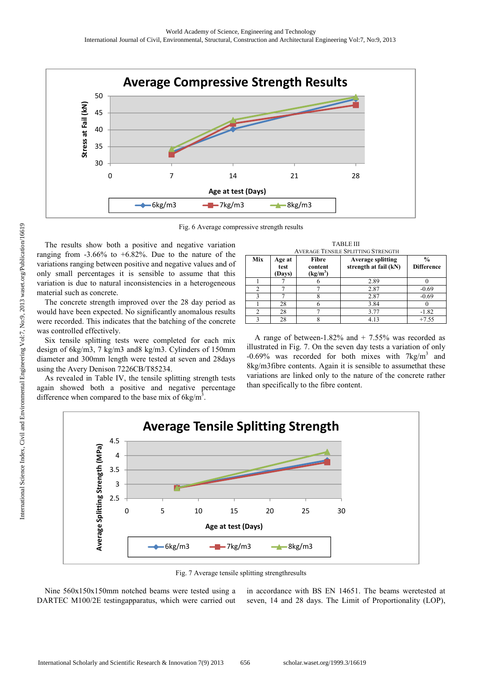

Fig. 6 Average compressive strength results

The results show both a positive and negative variation ranging from  $-3.66\%$  to  $+6.82\%$ . Due to the nature of the variations ranging between positive and negative values and of only small percentages it is sensible to assume that this variation is due to natural inconsistencies in a heterogeneous material such as concrete.

The concrete strength improved over the 28 day period as would have been expected. No significantly anomalous results were recorded. This indicates that the batching of the concrete was controlled effectively.

Six tensile splitting tests were completed for each mix design of 6kg/m3, 7 kg/m3 and8 kg/m3. Cylinders of 150mm diameter and 300mm length were tested at seven and 28days using the Avery Denison 7226CB/T85234.

As revealed in Table IV, the tensile splitting strength tests again showed both a positive and negative percentage difference when compared to the base mix of  $6kg/m<sup>3</sup>$ .

|     | <b>TABLE III</b>                          |                                |                                                   |                                    |  |  |  |
|-----|-------------------------------------------|--------------------------------|---------------------------------------------------|------------------------------------|--|--|--|
|     | <b>AVERAGE TENSILE SPLITTING STRENGTH</b> |                                |                                                   |                                    |  |  |  |
| Mix | Age at<br>test<br>(Days)                  | Fibre<br>content<br>$(kg/m^3)$ | <b>Average splitting</b><br>strength at fail (kN) | $\frac{0}{0}$<br><b>Difference</b> |  |  |  |
|     |                                           |                                | 2.89                                              |                                    |  |  |  |
|     |                                           |                                | 2.87                                              | $-0.69$                            |  |  |  |
| 2   |                                           |                                | 2.87                                              | $-0.69$                            |  |  |  |
|     | 28                                        |                                | 3.84                                              |                                    |  |  |  |
|     | 28                                        |                                | 3.77                                              | $-1.82$                            |  |  |  |
| 2   | 28                                        |                                | 4.13                                              | $+7.55$                            |  |  |  |

A range of between-1.82% and  $+ 7.55%$  was recorded as illustrated in Fig. 7. On the seven day tests a variation of only -0.69% was recorded for both mixes with  $7 \text{kg/m}^3$  and 8kg/m3fibre contents. Again it is sensible to assumethat these variations are linked only to the nature of the concrete rather than specifically to the fibre content.



Fig. 7 Average tensile splitting strengthresults

Nine 560x150x150mm notched beams were tested using a DARTEC M100/2E testingapparatus, which were carried out

in accordance with BS EN 14651. The beams weretested at seven, 14 and 28 days. The Limit of Proportionality (LOP),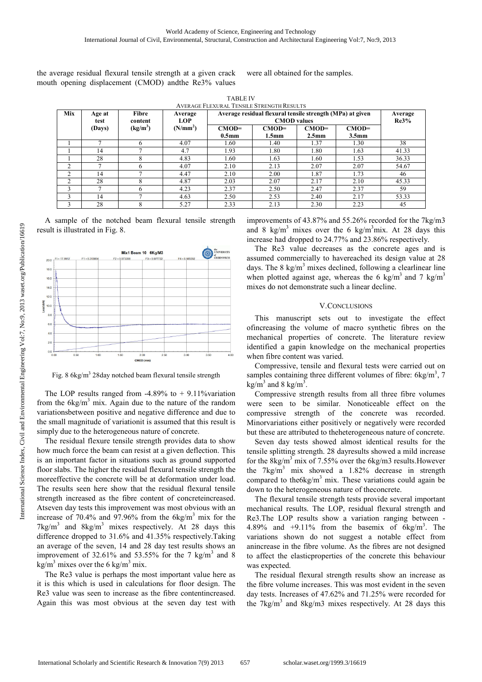the average residual flexural tensile strength at a given crack mouth opening displacement (CMOD) andthe Re3% values

were all obtained for the samples.

TABLE IV AVERAGE FLEVURAL TENSILE STRENGTH RESULTS

| Mix            | Age at<br>test | Fibre<br>content     | Average<br><b>LOP</b> | Average residual flexural tensile strength (MPa) at given | Average<br>Re3%              |                              |                              |       |
|----------------|----------------|----------------------|-----------------------|-----------------------------------------------------------|------------------------------|------------------------------|------------------------------|-------|
|                | (Days)         | (kg/m <sup>3</sup> ) | (N/mm <sup>2</sup> )  | $CMOD=$<br>0.5 <sub>mm</sub>                              | $CMOD=$<br>1.5 <sub>mm</sub> | $CMOD=$<br>2.5 <sub>mm</sub> | $CMOD=$<br>3.5 <sub>mm</sub> |       |
|                |                |                      | 4.07                  | 1.60                                                      | 1.40                         | 1.37                         | 1.30                         | 38    |
|                | 14             |                      | 4.7                   | 1.93                                                      | 1.80                         | 1.80                         | 1.63                         | 41.33 |
|                | 28             | о<br>δ               | 4.83                  | 1.60                                                      | 1.63                         | 1.60                         | 1.53                         | 36.33 |
| $\mathcal{L}$  |                |                      | 4.07                  | 2.10                                                      | 2.13                         | 2.07                         | 2.07                         | 54.67 |
| $\mathfrak{D}$ | 14             |                      | 4.47                  | 2.10                                                      | 2.00                         | 1.87                         | 1.73                         | 46    |
| $\mathcal{L}$  | 28             | 8                    | 4.87                  | 2.03                                                      | 2.07                         | 2.17                         | 2.10                         | 45.33 |
|                |                | h                    | 4.23                  | 2.37                                                      | 2.50                         | 2.47                         | 2.37                         | 59    |
|                | 14             |                      | 4.63                  | 2.50                                                      | 2.53                         | 2.40                         | 2.17                         | 53.33 |
|                | 28             | 8                    | 5.27                  | 2.33                                                      | 2.13                         | 2.30                         | 2.23                         | 45    |

A sample of the notched beam flexural tensile strength result is illustrated in Fig. 8.



Fig. 8 6kg/m<sup>3</sup> 28day notched beam flexural tensile strength

The LOP results ranged from  $-4.89\%$  to  $+9.11\%$ variation from the  $6\text{kg/m}^3$  mix. Again due to the nature of the random variationsbetween positive and negative difference and due to the small magnitude of variationit is assumed that this result is simply due to the heterogeneous nature of concrete.

The residual flexure tensile strength provides data to show how much force the beam can resist at a given deflection. This is an important factor in situations such as ground supported floor slabs. The higher the residual flexural tensile strength the moreeffective the concrete will be at deformation under load. The results seen here show that the residual flexural tensile strength increased as the fibre content of concreteincreased. Atseven day tests this improvement was most obvious with an increase of 70.4% and 97.96% from the  $6\text{kg/m}^3$  mix for the  $7 \text{kg/m}^3$  and  $8 \text{kg/m}^3$  mixes respectively. At 28 days this difference dropped to 31.6% and 41.35% respectively.Taking an average of the seven, 14 and 28 day test results shows an improvement of 32.61% and 53.55% for the 7 kg/m<sup>3</sup> and 8  $\text{kg/m}^3$  mixes over the 6 kg/m<sup>3</sup> mix.

The Re3 value is perhaps the most important value here as it is this which is used in calculations for floor design. The Re3 value was seen to increase as the fibre contentincreased. Again this was most obvious at the seven day test with

improvements of 43.87% and 55.26% recorded for the 7kg/m3 and 8 kg/m<sup>3</sup> mixes over the 6 kg/m<sup>3</sup>mix. At 28 days this increase had dropped to 24.77% and 23.86% respectively.

The Re3 value decreases as the concrete ages and is assumed commercially to havereached its design value at 28 days. The 8 kg/ $m<sup>3</sup>$  mixes declined, following a clearlinear line when plotted against age, whereas the 6 kg/m<sup>3</sup> and 7 kg/m<sup>3</sup> mixes do not demonstrate such a linear decline.

#### V.CONCLUSIONS

This manuscript sets out to investigate the effect ofincreasing the volume of macro synthetic fibres on the mechanical properties of concrete. The literature review identified a gapin knowledge on the mechanical properties when fibre content was varied.

Compressive, tensile and flexural tests were carried out on samples containing three different volumes of fibre:  $6\text{kg/m}^3$ , 7  $\text{kg/m}^3$  and 8 kg/m<sup>3</sup>.

Compressive strength results from all three fibre volumes were seen to be similar. Nonoticeable effect on the compressive strength of the concrete was recorded. Minorvariations either positively or negatively were recorded but these are attributed to theheterogeneous nature of concrete.

Seven day tests showed almost identical results for the tensile splitting strength. 28 dayresults showed a mild increase for the  $8\text{kg/m}^3$  mix of 7.55% over the  $6\text{kg/m}^3$  results. However the  $7\text{kg/m}^3$  mix showed a 1.82% decrease in strength compared to the6kg/ $m<sup>3</sup>$  mix. These variations could again be down to the heterogeneous nature of theconcrete.

The flexural tensile strength tests provide several important mechanical results. The LOP, residual flexural strength and Re3.The LOP results show a variation ranging between - 4.89% and  $+9.11\%$  from the basemix of  $6kg/m<sup>3</sup>$ . The variations shown do not suggest a notable effect from anincrease in the fibre volume. As the fibres are not designed to affect the elasticproperties of the concrete this behaviour was expected.

The residual flexural strength results show an increase as the fibre volume increases. This was most evident in the seven day tests. Increases of 47.62% and 71.25% were recorded for the  $7\text{kg/m}^3$  and  $8\text{kg/m}^3$  mixes respectively. At 28 days this